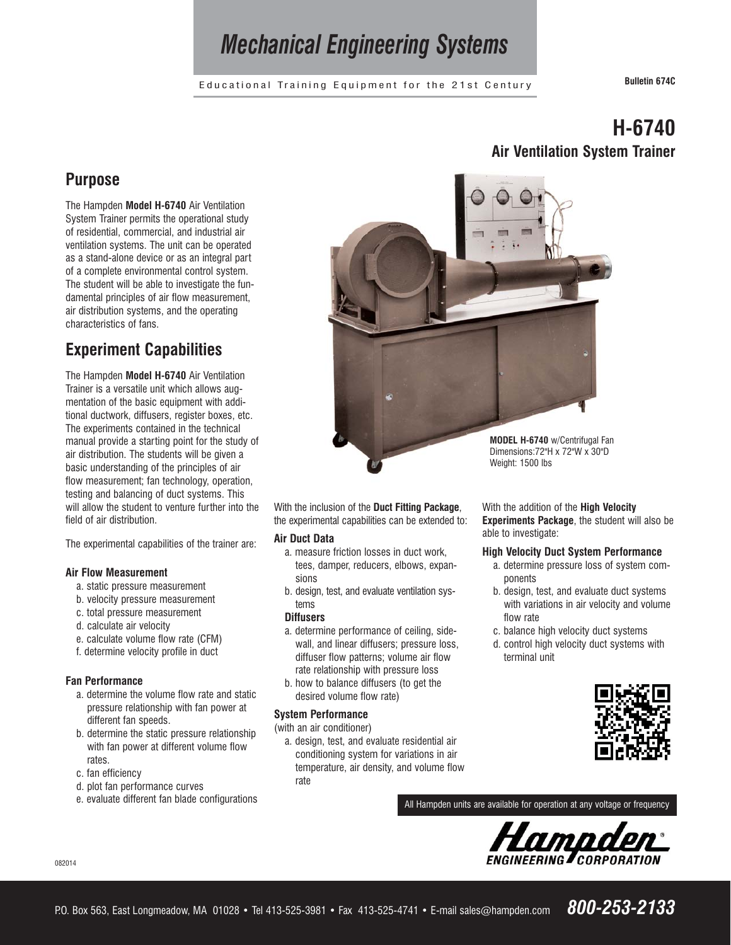## *Mechanical Engineering Systems*

Educational Training Equipment for the 21st Century **Bulletin 674C**

### **Purpose**

The Hampden **Model H-6740** Air Ventilation System Trainer permits the operational study of residential, commercial, and industrial air ventilation systems. The unit can be operated as a stand-alone device or as an integral part of a complete environmental control system. The student will be able to investigate the fundamental principles of air flow measurement, air distribution systems, and the operating characteristics of fans.

## **Experiment Capabilities**

The Hampden **Model H-6740** Air Ventilation Trainer is a versatile unit which allows augmentation of the basic equipment with additional ductwork, diffusers, register boxes, etc. The experiments contained in the technical manual provide a starting point for the study of air distribution. The students will be given a basic understanding of the principles of air flow measurement; fan technology, operation, testing and balancing of duct systems. This will allow the student to venture further into the field of air distribution.

The experimental capabilities of the trainer are:

- **Air Flow Measurement**
	- a. static pressure measurement
	- b. velocity pressure measurement
	- c. total pressure measurement
	- d. calculate air velocity
	- e. calculate volume flow rate (CFM)
	- f. determine velocity profile in duct

#### **Fan Performance**

- a. determine the volume flow rate and static pressure relationship with fan power at different fan speeds.
- b. determine the static pressure relationship with fan power at different volume flow rates.
- c. fan efficiency
- d. plot fan performance curves
- e. evaluate different fan blade configurations

## **H-6740 Air Ventilation System Trainer**



With the inclusion of the **Duct Fitting Package**, the experimental capabilities can be extended to:

#### **Air Duct Data**

- a. measure friction losses in duct work, tees, damper, reducers, elbows, expansions
- b. design, test, and evaluate ventilation systems

#### **Diffusers**

- a. determine performance of ceiling, sidewall, and linear diffusers; pressure loss, diffuser flow patterns; volume air flow rate relationship with pressure loss
- b. how to balance diffusers (to get the desired volume flow rate)

#### **System Performance**

- (with an air conditioner)
	- a. design, test, and evaluate residential air conditioning system for variations in air temperature, air density, and volume flow rate

With the addition of the **High Velocity Experiments Package**, the student will also be able to investigate:

#### **High Velocity Duct System Performance**

- a. determine pressure loss of system components
- b. design, test, and evaluate duct systems with variations in air velocity and volume flow rate
- c. balance high velocity duct systems
- d. control high velocity duct systems with terminal unit



All Hampden units are available for operation at any voltage or frequency